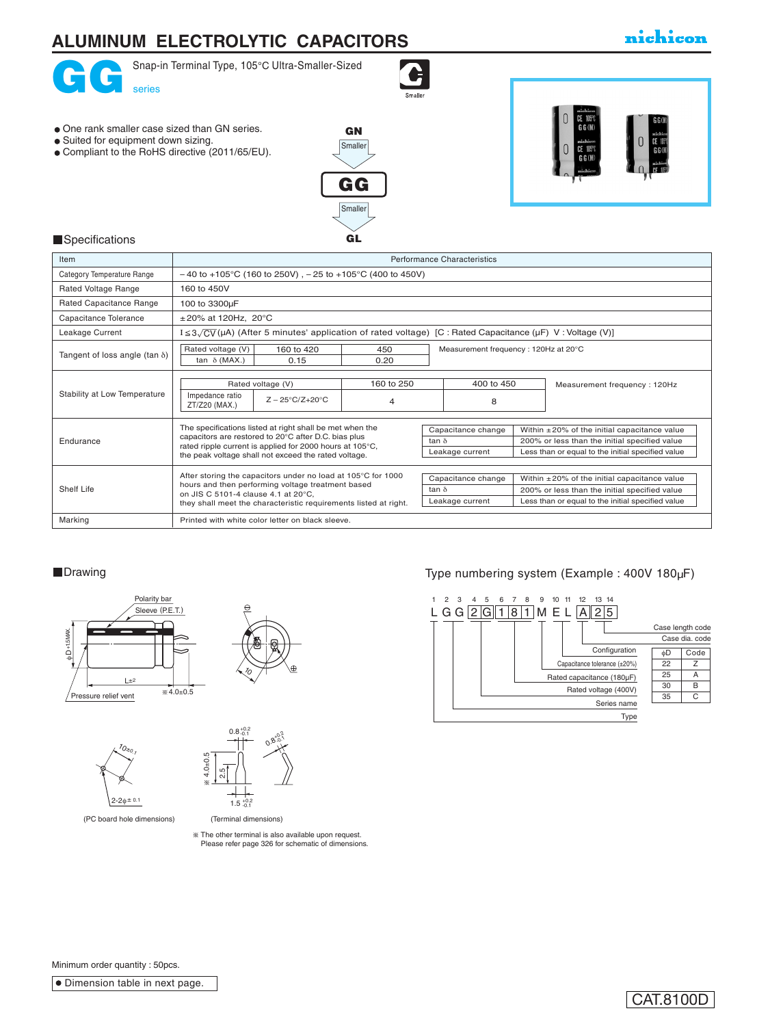

**Smaller** 

GL

## **Specifications**

| Item                                  |                                                                                                                                                                                                                                      |                 |                                                                                                                                                                                                                   | Performance Characteristics                           |  |                                                                                                                                                          |  |
|---------------------------------------|--------------------------------------------------------------------------------------------------------------------------------------------------------------------------------------------------------------------------------------|-----------------|-------------------------------------------------------------------------------------------------------------------------------------------------------------------------------------------------------------------|-------------------------------------------------------|--|----------------------------------------------------------------------------------------------------------------------------------------------------------|--|
| Category Temperature Range            | $-40$ to +105°C (160 to 250V), $-25$ to +105°C (400 to 450V)                                                                                                                                                                         |                 |                                                                                                                                                                                                                   |                                                       |  |                                                                                                                                                          |  |
| Rated Voltage Range                   | 160 to 450V                                                                                                                                                                                                                          |                 |                                                                                                                                                                                                                   |                                                       |  |                                                                                                                                                          |  |
| Rated Capacitance Range               | 100 to 3300µF                                                                                                                                                                                                                        |                 |                                                                                                                                                                                                                   |                                                       |  |                                                                                                                                                          |  |
| Capacitance Tolerance                 | $\pm 20\%$ at 120Hz, 20°C                                                                                                                                                                                                            |                 |                                                                                                                                                                                                                   |                                                       |  |                                                                                                                                                          |  |
| Leakage Current                       | I $\leq$ 3 $\sqrt{CV}$ (μA) (After 5 minutes' application of rated voltage) [C : Rated Capacitance (μF) V : Voltage (V)]                                                                                                             |                 |                                                                                                                                                                                                                   |                                                       |  |                                                                                                                                                          |  |
| Tangent of loss angle (tan $\delta$ ) | Rated voltage (V)<br>160 to 420<br>450<br>tan $\delta$ (MAX.)<br>0.15<br>0.20                                                                                                                                                        |                 |                                                                                                                                                                                                                   | Measurement frequency: 120Hz at 20°C                  |  |                                                                                                                                                          |  |
| Stability at Low Temperature          | Rated voltage (V)<br>Impedance ratio<br>$Z - 25^{\circ}C/Z + 20^{\circ}C$<br>ZT/Z20 (MAX.)                                                                                                                                           | 160 to 250<br>4 |                                                                                                                                                                                                                   | 400 to 450<br>8                                       |  | Measurement frequency: 120Hz                                                                                                                             |  |
| Endurance                             | The specifications listed at right shall be met when the<br>capacitors are restored to 20°C after D.C. bias plus<br>rated ripple current is applied for 2000 hours at 105°C,<br>the peak voltage shall not exceed the rated voltage. |                 |                                                                                                                                                                                                                   | Capacitance change<br>tan $\delta$<br>Leakage current |  | Within $\pm 20\%$ of the initial capacitance value<br>200% or less than the initial specified value<br>Less than or equal to the initial specified value |  |
| Shelf Life                            | After storing the capacitors under no load at 105°C for 1000<br>hours and then performing voltage treatment based<br>on JIS C 5101-4 clause 4.1 at 20°C.<br>they shall meet the characteristic requirements listed at right.         |                 | Capacitance change<br>Within $\pm 20\%$ of the initial capacitance value<br>200% or less than the initial specified value<br>tan $\delta$<br>Less than or equal to the initial specified value<br>Leakage current |                                                       |  |                                                                                                                                                          |  |
| Marking                               | Printed with white color letter on black sleeve.                                                                                                                                                                                     |                 |                                                                                                                                                                                                                   |                                                       |  |                                                                                                                                                          |  |





 $\sqrt[7]{0}$  $2 - 2φ = 0.1$  $4.0 + 0.5$  $\frac{u}{c}$  $1.5 \pm 0.2$  $0.8_{-0.1}^{+0.2}$  $^{\prime}$ <sub>0 $_{\ast}$ 0 $^{\prime}$ </sub> م.<br>ما

(PC board hole dimensions) (PC board hole dimensions)

 (Terminal dimensions) (Terminal dimensions) The other terminal is also available upon request. The other terminal is also available upon request.

 $\mathcal{O}_3$  $9.2$ 50

 $^{\circ}$  $+0.2$ دة.

Please refer page 326 for schematic of dimensions.

## ■Drawing Drawing Type numbering system (Example : 400V 180µF)



Minimum order quantity : 50pcs.

**Dimension table in next page.** 

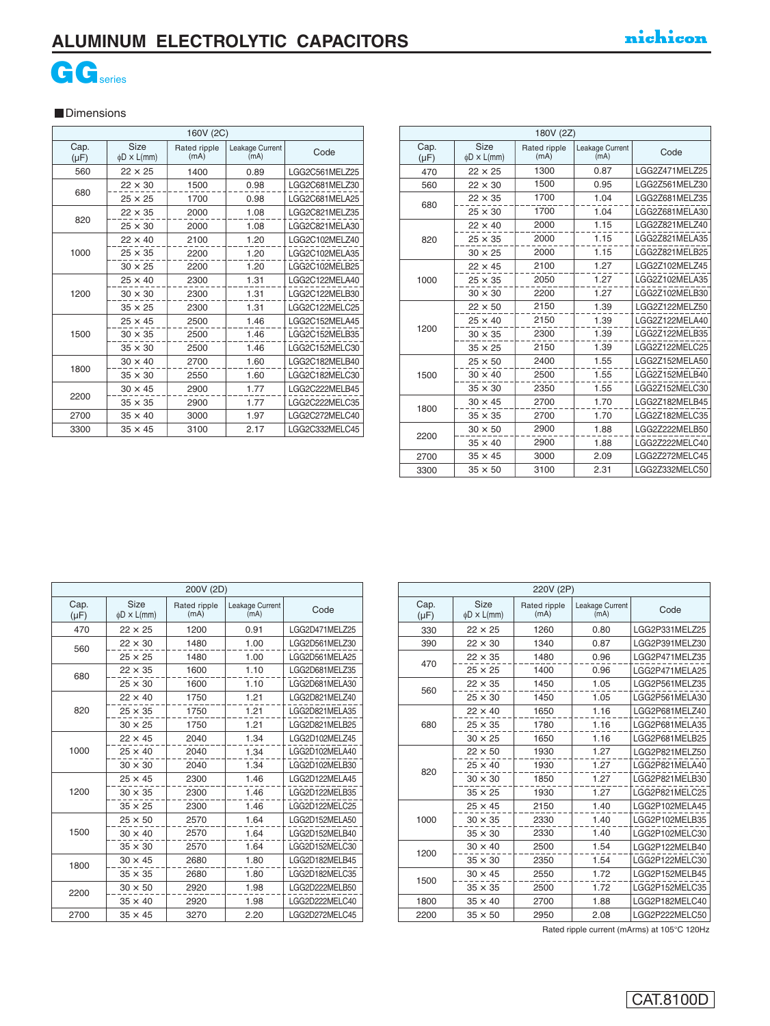## **ALUMINUM ELECTROLYTIC CAPACITORS**



### **Dimensions**

|                   | 160V (2C)                |                      |                         |                |  |  |  |  |
|-------------------|--------------------------|----------------------|-------------------------|----------------|--|--|--|--|
| Cap.<br>$(\mu F)$ | Size<br>$\phi$ D × L(mm) | Rated ripple<br>(mA) | Leakage Current<br>(mA) | Code           |  |  |  |  |
| 560               | $22 \times 25$           | 1400                 | 0.89                    | LGG2C561MELZ25 |  |  |  |  |
|                   | $22 \times 30$           | 1500                 | 0.98                    | LGG2C681MELZ30 |  |  |  |  |
| 680               | $25 \times 25$           | 1700                 | 0.98                    | LGG2C681MELA25 |  |  |  |  |
|                   | $22 \times 35$           | 2000                 | 1.08                    | LGG2C821MELZ35 |  |  |  |  |
| 820               | $25 \times 30$           | 2000                 | 1.08                    | LGG2C821MELA30 |  |  |  |  |
|                   | $22 \times 40$           | 2100                 | 1.20                    | LGG2C102MELZ40 |  |  |  |  |
| 1000              | $25 \times 35$           | 2200                 | 1.20                    | LGG2C102MELA35 |  |  |  |  |
|                   | $30 \times 25$           | 2200                 | 1.20                    | LGG2C102MELB25 |  |  |  |  |
|                   | $25 \times 40$           | 2300                 | 1.31                    | LGG2C122MELA40 |  |  |  |  |
| 1200              | $30 \times 30$           | 2300                 | 1.31                    | LGG2C122MELB30 |  |  |  |  |
|                   | $35 \times 25$           | 2300                 | 1.31                    | LGG2C122MELC25 |  |  |  |  |
|                   | $25 \times 45$           | 2500                 | 1.46                    | LGG2C152MELA45 |  |  |  |  |
| 1500              | $30 \times 35$           | 2500                 | 1.46                    | LGG2C152MELB35 |  |  |  |  |
|                   | $35 \times 30$           | 2500                 | 1.46                    | LGG2C152MELC30 |  |  |  |  |
|                   | $30 \times 40$           | 2700                 | 1.60                    | LGG2C182MELB40 |  |  |  |  |
| 1800              | $35 \times 30$           | 2550                 | 1.60                    | LGG2C182MELC30 |  |  |  |  |
|                   | $30 \times 45$           | 2900                 | 1.77                    | LGG2C222MELB45 |  |  |  |  |
| 2200              | $35 \times 35$           | 2900                 | 1.77                    | LGG2C222MELC35 |  |  |  |  |
| 2700              | $35 \times 40$           | 3000                 | 1.97                    | LGG2C272MELC40 |  |  |  |  |
| 3300              | $35 \times 45$           | 3100                 | 2.17                    | LGG2C332MELC45 |  |  |  |  |

| 180V (2Z)         |                          |                      |                         |                |  |  |  |
|-------------------|--------------------------|----------------------|-------------------------|----------------|--|--|--|
| Cap.<br>$(\mu F)$ | Size<br>$\phi$ D × L(mm) | Rated ripple<br>(mA) | Leakage Current<br>(mA) | Code           |  |  |  |
| 470               | $22 \times 25$           | 1300                 | 0.87                    | LGG2Z471MELZ25 |  |  |  |
| 560               | $22 \times 30$           | 1500                 | 0.95                    | LGG2Z561MELZ30 |  |  |  |
| 680               | $22 \times 35$           | 1700                 | 1.04                    | LGG2Z681MELZ35 |  |  |  |
|                   | $25 \times 30$           | 1700                 | 1.04                    | LGG2Z681MELA30 |  |  |  |
|                   | $22 \times 40$           | 2000                 | 1.15                    | LGG2Z821MELZ40 |  |  |  |
| 820               | $25 \times 35$           | 2000                 | 1.15                    | LGG2Z821MELA35 |  |  |  |
|                   | $30 \times 25$           | 2000                 | 1.15                    | LGG2Z821MELB25 |  |  |  |
|                   | $22 \times 45$           | 2100                 | 1.27                    | LGG2Z102MELZ45 |  |  |  |
| 1000              | $25 \times 35$           | 2050                 | 1.27                    | LGG2Z102MELA35 |  |  |  |
|                   | $30 \times 30$           | 2200                 | 1.27                    | LGG2Z102MELB30 |  |  |  |
|                   | $22 \times 50$           | 2150                 | 1.39                    | LGG2Z122MELZ50 |  |  |  |
|                   | $25 \times 40$           | 2150                 | 1.39                    | LGG2Z122MELA40 |  |  |  |
| 1200              | $30 \times 35$           | 2300                 | 1.39                    | LGG2Z122MELB35 |  |  |  |
|                   | $35 \times 25$           | 2150                 | 1.39                    | LGG2Z122MELC25 |  |  |  |
|                   | $25 \times 50$           | 2400                 | 1.55                    | LGG2Z152MELA50 |  |  |  |
| 1500              | $30 \times 40$           | 2500                 | 1.55                    | LGG2Z152MELB40 |  |  |  |
|                   | $35 \times 30$           | 2350                 | 1.55                    | LGG2Z152MELC30 |  |  |  |
|                   | $30 \times 45$           | 2700                 | 1.70                    | LGG2Z182MELB45 |  |  |  |
| 1800              | $35 \times 35$           | 2700                 | 1.70                    | LGG2Z182MELC35 |  |  |  |
| 2200              | $30 \times 50$           | 2900                 | 1.88                    | LGG2Z222MELB50 |  |  |  |
|                   | $35 \times 40$           | 2900                 | 1.88                    | LGG2Z222MELC40 |  |  |  |
| 2700              | $35 \times 45$           | 3000                 | 2.09                    | LGG2Z272MELC45 |  |  |  |
| 3300              | $35 \times 50$           | 3100                 | 2.31                    | LGG2Z332MELC50 |  |  |  |

| 200V (2D)                |                      |                         |                |  |  |  |  |
|--------------------------|----------------------|-------------------------|----------------|--|--|--|--|
| Size<br>$\phi$ D × L(mm) | Rated ripple<br>(mA) | Leakage Current<br>(mA) | Code           |  |  |  |  |
| $22 \times 25$           | 1200                 | 0.91                    | LGG2D471MELZ25 |  |  |  |  |
| $22 \times 30$           | 1480                 | 1.00                    | LGG2D561MELZ30 |  |  |  |  |
| $25 \times 25$           | 1480                 | 1.00                    | LGG2D561MELA25 |  |  |  |  |
| $22 \times 35$           | 1600                 | 1.10                    | LGG2D681MELZ35 |  |  |  |  |
| $25 \times 30$           | 1600                 | 1.10                    | LGG2D681MELA30 |  |  |  |  |
| $22 \times 40$           | 1750                 | 1.21                    | LGG2D821MELZ40 |  |  |  |  |
| $25 \times 35$           | 1750                 | 1.21                    | LGG2D821MELA35 |  |  |  |  |
| $30 \times 25$           | 1750                 | 1.21                    | LGG2D821MELB25 |  |  |  |  |
| $22 \times 45$           | 2040                 | 1.34                    | LGG2D102MELZ45 |  |  |  |  |
| $25 \times 40$           | 2040                 | 1.34                    | LGG2D102MELA40 |  |  |  |  |
| $30 \times 30$           | 2040                 | 1.34                    | LGG2D102MELB30 |  |  |  |  |
| $25 \times 45$           | 2300                 | 1.46                    | LGG2D122MELA45 |  |  |  |  |
| $30 \times 35$           | 2300                 | 1.46                    | LGG2D122MELB35 |  |  |  |  |
| $35 \times 25$           | 2300                 | 1.46                    | LGG2D122MELC25 |  |  |  |  |
| $25 \times 50$           | 2570                 | 1.64                    | LGG2D152MELA50 |  |  |  |  |
| $30 \times 40$           | 2570                 | 1.64                    | LGG2D152MELB40 |  |  |  |  |
| $35 \times 30$           | 2570                 | 1.64                    | LGG2D152MELC30 |  |  |  |  |
| $30 \times 45$           | 2680                 | 1.80                    | LGG2D182MELB45 |  |  |  |  |
| $35 \times 35$           | 2680                 | 1.80                    | LGG2D182MELC35 |  |  |  |  |
| $30 \times 50$           | 2920                 | 1.98                    | LGG2D222MELB50 |  |  |  |  |
| $35 \times 40$           | 2920                 | 1.98                    | LGG2D222MELC40 |  |  |  |  |
| $35 \times 45$           | 3270                 | 2.20                    | LGG2D272MELC45 |  |  |  |  |
|                          |                      |                         |                |  |  |  |  |

| 220V (2P)         |                          |                      |                         |                |  |  |  |
|-------------------|--------------------------|----------------------|-------------------------|----------------|--|--|--|
| Cap.<br>$(\mu F)$ | Size<br>$\phi$ D × L(mm) | Rated ripple<br>(mA) | Leakage Current<br>(mA) | Code           |  |  |  |
| 330               | $22 \times 25$           | 1260                 | 0.80                    | LGG2P331MELZ25 |  |  |  |
| 390               | $22 \times 30$           | 1340                 | 0.87                    | LGG2P391MELZ30 |  |  |  |
| 470               | $22 \times 35$           | 1480                 | 0.96                    | LGG2P471MELZ35 |  |  |  |
|                   | $25 \times 25$           | 1400                 | 0.96                    | LGG2P471MELA25 |  |  |  |
| 560               | $22 \times 35$           | 1450                 | 1.05                    | LGG2P561MELZ35 |  |  |  |
|                   | $25 \times 30$           | 1450                 | 1.05                    | LGG2P561MELA30 |  |  |  |
|                   | $22 \times 40$           | 1650                 | 1.16                    | LGG2P681MELZ40 |  |  |  |
| 680               | $25 \times 35$           | 1780                 | 1.16                    | LGG2P681MELA35 |  |  |  |
|                   | $30 \times 25$           | 1650                 | 1.16                    | LGG2P681MELB25 |  |  |  |
|                   | $22 \times 50$           | 1930                 | 1.27                    | LGG2P821MELZ50 |  |  |  |
| 820               | $25 \times 40$           | 1930                 | 1.27                    | LGG2P821MELA40 |  |  |  |
|                   | $30 \times 30$           | 1850                 | 1.27                    | LGG2P821MELB30 |  |  |  |
|                   | $35 \times 25$           | 1930                 | 1.27                    | LGG2P821MELC25 |  |  |  |
|                   | $25 \times 45$           | 2150                 | 1.40                    | LGG2P102MELA45 |  |  |  |
| 1000              | $30 \times 35$           | 2330                 | 1.40                    | LGG2P102MELB35 |  |  |  |
|                   | $35 \times 30$           | 2330                 | 1.40                    | LGG2P102MELC30 |  |  |  |
| 1200              | $30 \times 40$           | 2500                 | 1.54                    | LGG2P122MELB40 |  |  |  |
|                   | $35 \times 30$           | 2350                 | 1.54                    | LGG2P122MELC30 |  |  |  |
| 1500              | $30 \times 45$           | 2550                 | 1.72                    | LGG2P152MELB45 |  |  |  |
|                   | $35 \times 35$           | 2500                 | 1.72                    | LGG2P152MELC35 |  |  |  |
| 1800              | $35 \times 40$           | 2700                 | 1.88                    | LGG2P182MELC40 |  |  |  |
| 2200              | $35 \times 50$           | 2950                 | 2.08                    | LGG2P222MELC50 |  |  |  |

Rated ripple current (mArms) at 105°C 120Hz